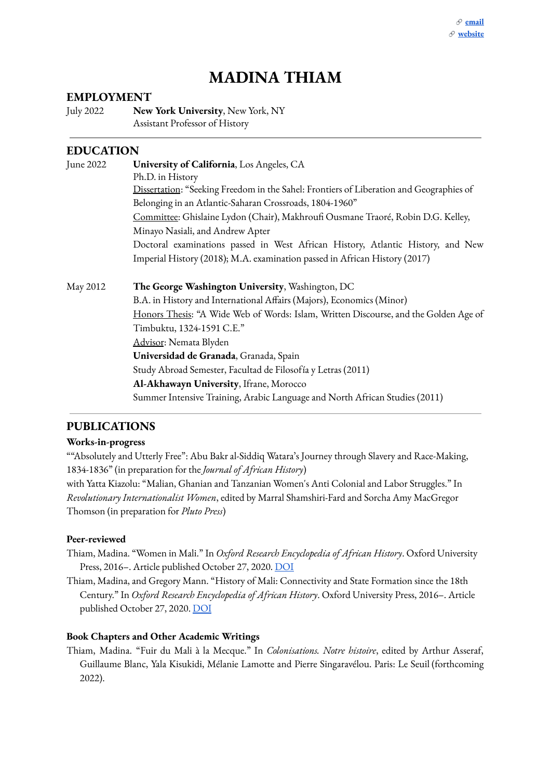# **MADINA THIAM**

#### **EMPLOYMENT**

July 2022 **New York University**, New York, NY Assistant Professor of History

#### **EDUCATION**

| June 2022 | University of California, Los Angeles, CA                                               |
|-----------|-----------------------------------------------------------------------------------------|
|           | Ph.D. in History                                                                        |
|           | Dissertation: "Seeking Freedom in the Sahel: Frontiers of Liberation and Geographies of |
|           | Belonging in an Atlantic-Saharan Crossroads, 1804-1960"                                 |
|           | Committee: Ghislaine Lydon (Chair), Makhroufi Ousmane Traoré, Robin D.G. Kelley,        |
|           | Minayo Nasiali, and Andrew Apter                                                        |
|           | Doctoral examinations passed in West African History, Atlantic History, and New         |
|           | Imperial History (2018); M.A. examination passed in African History (2017)              |
| May 2012  | The George Washington University, Washington, DC                                        |
|           | B.A. in History and International Affairs (Majors), Economics (Minor)                   |
|           | Honors Thesis: "A Wide Web of Words: Islam, Written Discourse, and the Golden Age of    |
|           | Timbuktu, 1324-1591 C.E."                                                               |
|           | Advisor: Nemata Blyden                                                                  |
|           | Universidad de Granada, Granada, Spain                                                  |
|           | Study Abroad Semester, Facultad de Filosofía y Letras (2011)                            |
|           | Al-Akhawayn University, Ifrane, Morocco                                                 |
|           | Summer Intensive Training, Arabic Language and North African Studies (2011)             |

## **PUBLICATIONS**

#### **Works-in-progress**

""Absolutely and Utterly Free": Abu Bakr al-Siddiq Watara's Journey through Slavery and Race-Making, 1834-1836" (in preparation for the *Journal of African History*) with Yatta Kiazolu: "Malian, Ghanian and Tanzanian Women's Anti Colonial and Labor Struggles." In *Revolutionary Internationalist Women*, edited by Marral Shamshiri-Fard and Sorcha Amy MacGregor Thomson (in preparation for *Pluto Press*)

#### **Peer-reviewed**

- Thiam, Madina. "Women in Mali." In *Oxford Research Encyclopedia of African History*. Oxford University Press, 2016–. Article published October 27, 2020. [DOI](https://doi.org/10.1093/acrefore/9780190277734.013.530)
- Thiam, Madina, and Gregory Mann. "History of Mali: Connectivity and State Formation since the 18th Century." In *Oxford Research Encyclopedia of African History*. Oxford University Press, 2016–. Article published October 27, 2020. [DOI](https://doi.org/10.1093/acrefore/9780190277734.013.715)

#### **Book Chapters and Other Academic Writings**

Thiam, Madina. "Fuir du Mali à la Mecque." In *Colonisations. Notre histoire*, edited by Arthur Asseraf, Guillaume Blanc, Yala Kisukidi, Mélanie Lamotte and Pierre Singaravélou. Paris: Le Seuil (forthcoming 2022).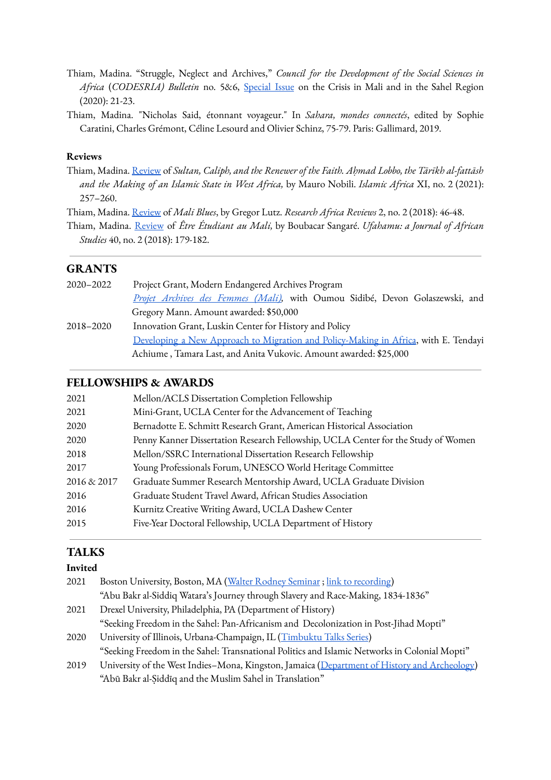- Thiam, Madina. "Struggle, Neglect and Archives," *Council for the Development of the Social Sciences in Africa* (*CODESRIA) Bulletin* no. 5&6, [Special](http://www.codesria.org/IMG/pdf/codesria_bulletin_mali_5_6_20.pdf) Issue on the Crisis in Mali and in the Sahel Region (2020): 21-23.
- Thiam, Madina. "Nicholas Said, étonnant voyageur." In *Sahara, mondes connectés*, edited by Sophie Caratini, Charles Grémont, Céline Lesourd and Olivier Schinz, 75-79. Paris: Gallimard, 2019.

#### **Reviews**

- Thiam, Madina. [Review](https://brill.com/view/journals/iafr/11/2/article-p257_257.xml) of *Sultan, Caliph, and the Renewer of the Faith. Aḥmad Lobbo, the Tārīkh al-fattāsh and the Making of an Islamic State in West Africa,* by Mauro Nobili. *Islamic Africa* XI, no. 2 (2021): 257–260.
- Thiam, Madina. [Review](https://sites.duke.edu/researchafrica/files/2018/09/12-3-Volume2-2018-Madina.pdf) of *Mali Blues*, by Gregor Lutz. *Research Africa Reviews* 2, no. 2 (2018): 46-48.
- Thiam, Madina. [Review](https://escholarship.org/uc/item/2dp1h9st) of *Être Étudiant au Mali,* by Boubacar Sangaré. *Ufahamu: a Journal of African Studies* 40, no. 2 (2018): 179-182.

#### **GRANTS**

2020–2022 Project Grant, Modern Endangered Archives Program *Projet [Archives](http://archivesfemmesmali.com/) des Femmes (Mali),* with Oumou Sidibé, Devon Golaszewski, and Gregory Mann. Amount awarded: \$50,000 2018–2020 Innovation Grant, Luskin Center for History and Policy Developing a New Approach to Migration and [Policy-Making](https://luskincenter.history.ucla.edu/luskin-fellows/2018-2019/project-one/) in Africa, with E. Tendayi Achiume , Tamara Last, and Anita Vukovic. Amount awarded: \$25,000

#### **FELLOWSHIPS & AWARDS**

| 2021        | Mellon/ACLS Dissertation Completion Fellowship                                    |
|-------------|-----------------------------------------------------------------------------------|
| 2021        | Mini-Grant, UCLA Center for the Advancement of Teaching                           |
| 2020        | Bernadotte E. Schmitt Research Grant, American Historical Association             |
| 2020        | Penny Kanner Dissertation Research Fellowship, UCLA Center for the Study of Women |
| 2018        | Mellon/SSRC International Dissertation Research Fellowship                        |
| 2017        | Young Professionals Forum, UNESCO World Heritage Committee                        |
| 2016 & 2017 | Graduate Summer Research Mentorship Award, UCLA Graduate Division                 |
| 2016        | Graduate Student Travel Award, African Studies Association                        |
| 2016        | Kurnitz Creative Writing Award, UCLA Dashew Center                                |
| 2015        | Five-Year Doctoral Fellowship, UCLA Department of History                         |
|             |                                                                                   |

#### **TALKS**

## **Invited**

| 2021 | Boston University, Boston, MA (Walter Rodney Seminar; link to recording)                      |
|------|-----------------------------------------------------------------------------------------------|
|      | "Abu Bakr al-Siddiq Watara's Journey through Slavery and Race-Making, 1834-1836"              |
| 2021 | Drexel University, Philadelphia, PA (Department of History)                                   |
|      | "Seeking Freedom in the Sahel: Pan-Africanism and Decolonization in Post-Jihad Mopti"         |
| 2020 | University of Illinois, Urbana-Champaign, IL (Timbuktu Talks Series)                          |
|      | "Seeking Freedom in the Sahel: Transnational Politics and Islamic Networks in Colonial Mopti" |
| 2019 | University of the West Indies-Mona, Kingston, Jamaica (Department of History and Archeology)  |
|      | "Abū Bakr al-Siddīq and the Muslim Sahel in Translation"                                      |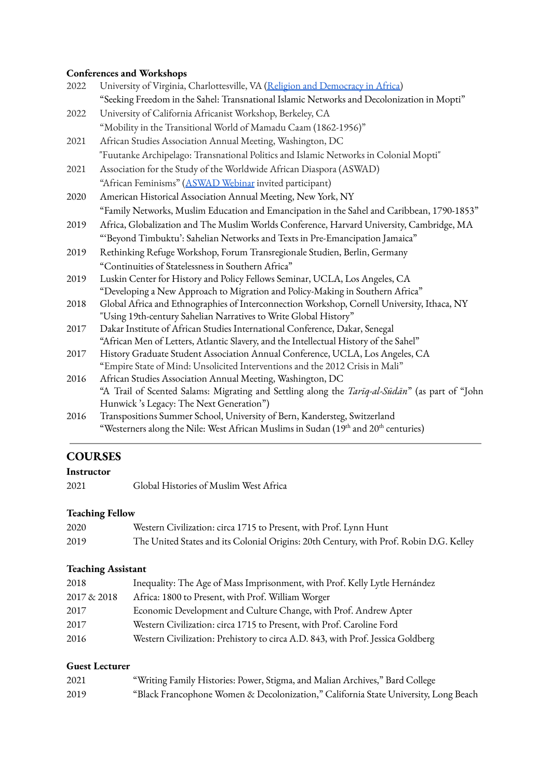## **Conferences and Workshops**

| 2022 | University of Virginia, Charlottesville, VA (Religion and Democracy in Africa)                         |
|------|--------------------------------------------------------------------------------------------------------|
|      | "Seeking Freedom in the Sahel: Transnational Islamic Networks and Decolonization in Mopti"             |
| 2022 | University of California Africanist Workshop, Berkeley, CA                                             |
|      | "Mobility in the Transitional World of Mamadu Caam (1862-1956)"                                        |
| 2021 | African Studies Association Annual Meeting, Washington, DC                                             |
|      | "Fuutanke Archipelago: Transnational Politics and Islamic Networks in Colonial Mopti"                  |
| 2021 | Association for the Study of the Worldwide African Diaspora (ASWAD)                                    |
|      | "African Feminisms" (ASWAD Webinar invited participant)                                                |
| 2020 | American Historical Association Annual Meeting, New York, NY                                           |
|      | "Family Networks, Muslim Education and Emancipation in the Sahel and Caribbean, 1790-1853"             |
| 2019 | Africa, Globalization and The Muslim Worlds Conference, Harvard University, Cambridge, MA              |
|      | "'Beyond Timbuktu': Sahelian Networks and Texts in Pre-Emancipation Jamaica"                           |
| 2019 | Rethinking Refuge Workshop, Forum Transregionale Studien, Berlin, Germany                              |
|      | "Continuities of Statelessness in Southern Africa"                                                     |
| 2019 | Luskin Center for History and Policy Fellows Seminar, UCLA, Los Angeles, CA                            |
|      | "Developing a New Approach to Migration and Policy-Making in Southern Africa"                          |
| 2018 | Global Africa and Ethnographies of Interconnection Workshop, Cornell University, Ithaca, NY            |
|      | "Using 19th-century Sahelian Narratives to Write Global History"                                       |
| 2017 | Dakar Institute of African Studies International Conference, Dakar, Senegal                            |
|      | "African Men of Letters, Atlantic Slavery, and the Intellectual History of the Sahel"                  |
| 2017 | History Graduate Student Association Annual Conference, UCLA, Los Angeles, CA                          |
|      | "Empire State of Mind: Unsolicited Interventions and the 2012 Crisis in Mali"                          |
| 2016 | African Studies Association Annual Meeting, Washington, DC                                             |
|      | "A Trail of Scented Salams: Migrating and Settling along the <i>Tarīq-al-Sūdān</i> " (as part of "John |
|      | Hunwick's Legacy: The Next Generation")                                                                |
| 2016 | Transpositions Summer School, University of Bern, Kandersteg, Switzerland                              |
|      | "Westerners along the Nile: West African Muslims in Sudan (19th and 20th centuries)                    |

## **COURSES**

#### **Instructor**

2021 Global Histories of Muslim West Africa

# **Teaching Fellow**

| 2020 | Western Civilization: circa 1715 to Present, with Prof. Lynn Hunt                      |
|------|----------------------------------------------------------------------------------------|
| 2019 | The United States and its Colonial Origins: 20th Century, with Prof. Robin D.G. Kelley |

## **Teaching Assistant**

| 2018        | Inequality: The Age of Mass Imprisonment, with Prof. Kelly Lytle Hernández      |
|-------------|---------------------------------------------------------------------------------|
| 2017 & 2018 | Africa: 1800 to Present, with Prof. William Worger                              |
| 2017        | Economic Development and Culture Change, with Prof. Andrew Apter                |
| 2017        | Western Civilization: circa 1715 to Present, with Prof. Caroline Ford           |
| 2016        | Western Civilization: Prehistory to circa A.D. 843, with Prof. Jessica Goldberg |
|             |                                                                                 |

## **Guest Lecturer**

| 2021 | "Writing Family Histories: Power, Stigma, and Malian Archives," Bard College        |
|------|-------------------------------------------------------------------------------------|
| 2019 | "Black Francophone Women & Decolonization," California State University, Long Beach |